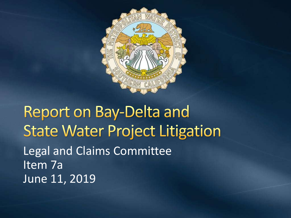

**Report on Bay-Delta and State Water Project Litigation** Legal and Claims Committee Item 7a June 11, 2019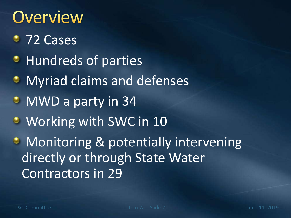## **Overview**

- 72 Cases
- **Hundreds of parties**
- **Myriad claims and defenses**
- MWD a party in 34
- Working with SWC in 10
- Monitoring & potentially intervening directly or through State Water Contractors in 29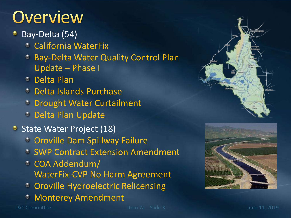## Overview

- Bay-Delta (54)
	- California WaterFix
	- **Bay-Delta Water Quality Control Plan** Update – Phase I
	- Delta Plan
	- Delta Islands Purchase
	- <sup>o</sup> Drought Water Curtailment
	- **C** Delta Plan Update
- State Water Project (18)
	- **C** Oroville Dam Spillway Failure
	- **SWP Contract Extension Amendment**
	- COA Addendum/ WaterFix-CVP No Harm Agreement
	- **COROVILLE Hydroelectric Relicensing**
	- Monterey Amendment



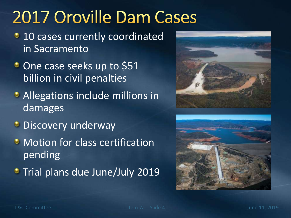## 2017 Oroville Dam Cases

- **10 cases currently coordinated** in Sacramento
- One case seeks up to \$51 billion in civil penalties
- **Allegations include millions in** damages
- **Discovery underway**
- **Motion for class certification** pending
- **Trial plans due June/July 2019**



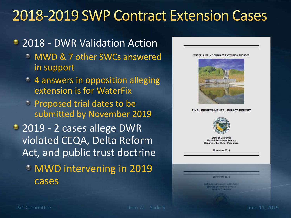### 2018-2019 SWP Contract Extension Cases

### • 2018 - DWR Validation Action

- MWD & 7 other SWCs answered in support
- 4 answers in opposition alleging extension is for WaterFix
- **Proposed trial dates to be** submitted by November 2019
- 2019 2 cases allege DWR violated CEQA, Delta Reform Act, and public trust doctrine
	- MWD intervening in 2019 cases

FINAL ENVIRONMENTAL IMPACT REPORT **State of California Natural Resources Agency Department of Water Resources** November 2018

WATER SUPPLY CONTRACT EXTENSION PROJECT

**UIOARIUDAL KOJIE** 

Окраїнського Малек Ниволіськ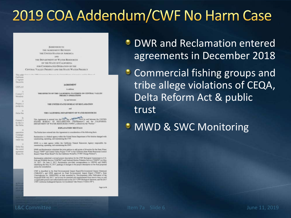## 2019 COA Addendum/CWF No Harm Case

AMANDEM TO THE AGREEMENT BETWEEN THE UNITED STATES OF AMERICA ANS. THE DEPARTMENT OF WATER RESOURCES. OF THE STATE OF CALIFORNIA FOR COOMBINATED OPERATION OF THE CENTRAL VALLEY PROJECT AND THE STATE WATER PROJECT

| 1,211, 1977<br>California<br><b>Charles</b>          |                                                                                                                                                                                                                                                                                                                                                                                                                                                                                                                                                        |
|------------------------------------------------------|--------------------------------------------------------------------------------------------------------------------------------------------------------------------------------------------------------------------------------------------------------------------------------------------------------------------------------------------------------------------------------------------------------------------------------------------------------------------------------------------------------------------------------------------------------|
| <b>Numeria</b>                                       | <b><i>AGREEMENT</i></b>                                                                                                                                                                                                                                                                                                                                                                                                                                                                                                                                |
| <b>DOS</b> AN                                        | to address:                                                                                                                                                                                                                                                                                                                                                                                                                                                                                                                                            |
| $\lambda$<br><b>Extensil V</b><br>Mendetal           | THE EFFECTS OF THE CALIFORNIA WATERER ON CENTRAL VALLEY<br>PROJECT OPERATIONS                                                                                                                                                                                                                                                                                                                                                                                                                                                                          |
| и                                                    | by auf ferenes:                                                                                                                                                                                                                                                                                                                                                                                                                                                                                                                                        |
| <b>Program</b> , 3<br>20 AM DE ATAL                  | THE UNITED STATES BUREAU OF RECLAMATION.                                                                                                                                                                                                                                                                                                                                                                                                                                                                                                               |
| $\mathbb{R}$                                         | <b>und</b>                                                                                                                                                                                                                                                                                                                                                                                                                                                                                                                                             |
| <b>Civilia</b> Tias                                  | THE CALIFORNIA BEFARTMENT OF WATER RESOURCER                                                                                                                                                                                                                                                                                                                                                                                                                                                                                                           |
| $-36$<br><b>Central V</b><br>lay the EV<br>the Delta | This Agreement is moved into the 12 day of CEANAGE<br>2015 hy and between the LINITED<br>STATES BUREAU OF RECLAMATION ("Restaurates") and the CALIFORNIA<br>DEPARTMENT OF WATER RESOURCES ("DWR"), substively the "Perfor."                                                                                                                                                                                                                                                                                                                            |
| ×                                                    | <b>EXPLANATORY RECITALS</b>                                                                                                                                                                                                                                                                                                                                                                                                                                                                                                                            |
| eposition                                            | The Parties have emped into this Agreement is consulmation of the following facto                                                                                                                                                                                                                                                                                                                                                                                                                                                                      |
| Elisäkiego<br>Presenta a<br>water idst               | Reclamation is a federal agency within the Union! States Department of the letterist charged with<br>numering operating, and maintaining the CVP.                                                                                                                                                                                                                                                                                                                                                                                                      |
| - 11<br>Delta Ria                                    | DWR is a state agency within the California Natural Researces Agency requestion for<br>mentrusting, operating, and maintaining the SWP.                                                                                                                                                                                                                                                                                                                                                                                                                |
| that scientif<br>ADMINISTRATION<br>Wasse Pe          | 17971 and Reclamator subscitud the joint petition to add posts of diversion for the State Water<br>Project "TWP" and Control Valley Project "CVP" to the California State Water Research Control<br>Board ("Siate Water Board") for the California Waterfile ("CWP Charge Prisine").                                                                                                                                                                                                                                                                   |
|                                                      | Beilsmatun nebeutred a revised project discreption for the CWF Biological Assocrated to U.S.<br>Fish and Wildlife Service ("CSFW3") and National Matted Fisherine Service ("NMFS") on May<br>24, 2157. On Jane 2, 2017, Berlinswick provided assesspendence to USPWS and NMFS<br>identifying the May 24, 2017, package of changes to the project description as the fitted proposed<br>action for consultation.                                                                                                                                        |
| <b>THE R</b>                                         | CRT is dearbed in the first Euronomousl Impact Report Environmental Impact Statement<br>("EIR/EIS"), and DWR approved in Final Environmental Impact Export ("FEIR"), State<br>Clearinghouse No. 2008012182, as later associate by 'Development After Publication of the<br>Proposed FEIR /sdy 2017," and as may be covered and everyteneesed from time in mos, as well<br>as applicable permits and authorizations such as the 1917 CWY Bulkegoal Opinions, and the 2017<br>CWF Culifornia Endospered Spazian Aut Insidental Take Permit ("CESA ITP"). |

Page 1 of 4

**C** DWR and Reclamation entered agreements in December 2018

**• Commercial fishing groups and** tribe allege violations of CEQA, Delta Reform Act & public trust

**MWD & SWC Monitoring**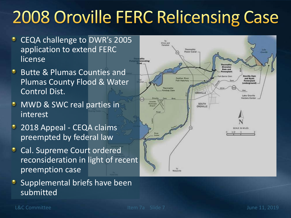# **2008 Oroville FERC Relicensing Case**

- CEQA challenge to DWR's 2005 application to extend FERC license
- **Butte & Plumas Counties and** Plumas County Flood & Water Control Dist.
- **MWD & SWC real parties in** interest
- <sup>2</sup> 2018 Appeal CEQA claims preempted by federal law
- **Cal. Supreme Court ordered** reconsideration in light of recent preemption case
- **Supplemental briefs have been** submitted

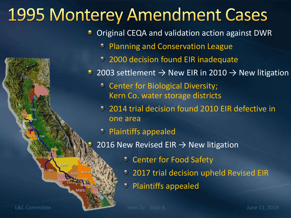## **1995 Monterey Amendment Cases**

Original CEQA and validation action against DWR

- Planning and Conservation League
- **2000 decision found EIR inadequate**
- 2003 settlement  $\rightarrow$  New EIR in 2010  $\rightarrow$  New litigation
	- Center for Biological Diversity; Kern Co. water storage districts
	- 2014 trial decision found 2010 EIR defective in one area
	- Plaintiffs appealed
	- 2016 New Revised EIR  $\rightarrow$  New litigation
		- Center for Food Safety
		- **2017 trial decision upheld Revised EIR**
		- Plaintiffs appealed

Napa

ACWD

Solano

Yuba

ACF/7

SCVWD Oak

Kern

Ventura

**Castaic** 

3

MWD

sbymwb<sub>wa</sub>

4

CVWD

AVEK Mojave

2 Palmdale 1

Tulare

Kings

**CCWA** 

Dudley Empire